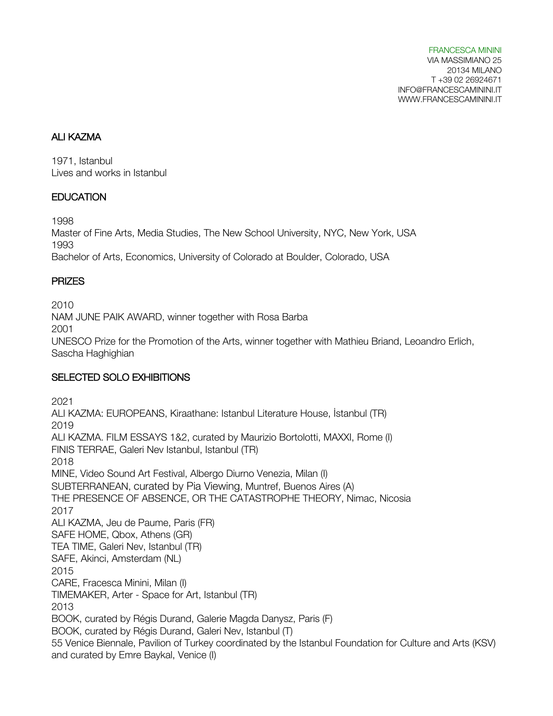## ALI KAZMA

1971, Istanbul Lives and works in Istanbul

### **EDUCATION**

1998

Master of Fine Arts, Media Studies, The New School University, NYC, New York, USA 1993 Bachelor of Arts, Economics, University of Colorado at Boulder, Colorado, USA

#### PRIZES

2010 NAM JUNE PAIK AWARD, winner together with Rosa Barba 2001 UNESCO Prize for the Promotion of the Arts, winner together with Mathieu Briand, Leoandro Erlich, Sascha Haghighian

## SELECTED SOLO EXHIBITIONS

2021 ALI KAZMA: EUROPEANS, Kiraathane: Istanbul Literature House, İstanbul (TR) 2019 ALI KAZMA. FILM ESSAYS 1&2, curated by Maurizio Bortolotti, MAXXI, Rome (I) FINIS TERRAE, Galeri Nev Istanbul, Istanbul (TR) 2018 MINE, Video Sound Art Festival, Albergo Diurno Venezia, Milan (I) SUBTERRANEAN, curated by Pia Viewing, Muntref, Buenos Aires (A) THE PRESENCE OF ABSENCE, OR THE CATASTROPHE THEORY, Nimac, Nicosia 2017 ALI KAZMA, Jeu de Paume, Paris (FR) SAFE HOME, Qbox, Athens (GR) TEA TIME, Galeri Nev, Istanbul (TR) SAFE, Akinci, Amsterdam (NL) 2015 CARE, Fracesca Minini, Milan (I) TIMEMAKER, Arter - Space for Art, Istanbul (TR) 2013 BOOK, curated by Régis Durand, Galerie Magda Danysz, Paris (F) BOOK, curated by Régis Durand, Galeri Nev, Istanbul (T) 55 Venice Biennale, Pavilion of Turkey coordinated by the Istanbul Foundation for Culture and Arts (KSV) and curated by Emre Baykal, Venice (I)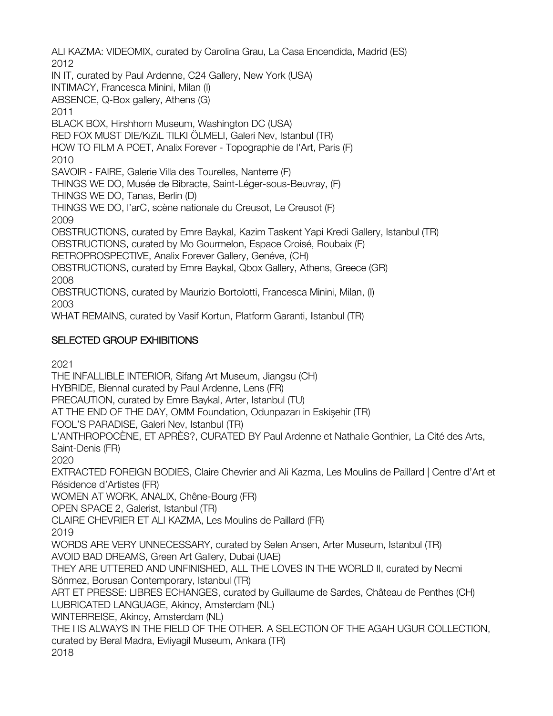ALI KAZMA: VIDEOMIX, curated by Carolina Grau, La Casa Encendida, Madrid (ES) 2012 IN IT, curated by Paul Ardenne, C24 Gallery, New York (USA) INTIMACY, Francesca Minini, Milan (I) ABSENCE, Q-Box gallery, Athens (G) 2011 BLACK BOX, Hirshhorn Museum, Washington DC (USA) RED FOX MUST DIE/KıZıL TILKI ÖLMELI, Galeri Nev, Istanbul (TR) HOW TO FILM A POET, Analix Forever - Topographie de l'Art, Paris (F) 2010 SAVOIR - FAIRE, Galerie Villa des Tourelles, Nanterre (F) THINGS WE DO, Musée de Bibracte, Saint-Léger-sous-Beuvray, (F) THINGS WE DO, Tanas, Berlin (D) THINGS WE DO, l'arC, scène nationale du Creusot, Le Creusot (F) 2009 OBSTRUCTIONS, curated by Emre Baykal, Kazim Taskent Yapi Kredi Gallery, Istanbul (TR) OBSTRUCTIONS, curated by Mo Gourmelon, Espace Croisé, Roubaix (F) RETROPROSPECTIVE, Analix Forever Gallery, Genéve, (CH) OBSTRUCTIONS, curated by Emre Baykal, Qbox Gallery, Athens, Greece (GR) 2008 OBSTRUCTIONS, curated by Maurizio Bortolotti, Francesca Minini, Milan, (I) 2003 WHAT REMAINS, curated by Vasif Kortun, Platform Garanti, Istanbul (TR)

# SELECTED GROUP EXHIBITIONS

2021

THE INFALLIBLE INTERIOR, Sifang Art Museum, Jiangsu (CH) HYBRIDE, Biennal curated by Paul Ardenne, Lens (FR) PRECAUTION, curated by Emre Baykal, Arter, Istanbul (TU) AT THE END OF THE DAY, OMM Foundation, Odunpazarı in Eskişehir (TR) FOOL'S PARADISE, Galeri Nev, Istanbul (TR) L'ANTHROPOCÈNE, ET APRÈS?, CURATED BY Paul Ardenne et Nathalie Gonthier, La Cité des Arts, Saint-Denis (FR) 2020 EXTRACTED FOREIGN BODIES, Claire Chevrier and Ali Kazma, Les Moulins de Paillard | Centre d'Art et Résidence d'Artistes (FR) WOMEN AT WORK, ANALIX, Chêne-Bourg (FR) OPEN SPACE 2, Galerist, Istanbul (TR) CLAIRE CHEVRIER ET ALI KAZMA, Les Moulins de Paillard (FR) 2019 WORDS ARE VERY UNNECESSARY, curated by Selen Ansen, Arter Museum, Istanbul (TR) AVOID BAD DREAMS, Green Art Gallery, Dubai (UAE) THEY ARE UTTERED AND UNFINISHED, ALL THE LOVES IN THE WORLD II, curated by Necmi Sönmez, Borusan Contemporary, Istanbul (TR) ART ET PRESSE: LIBRES ECHANGES, curated by Guillaume de Sardes, Château de Penthes (CH) LUBRICATED LANGUAGE, Akincy, Amsterdam (NL) WINTERREISE, Akincy, Amsterdam (NL) THE I IS ALWAYS IN THE FIELD OF THE OTHER. A SELECTION OF THE AGAH UGUR COLLECTION, curated by Beral Madra, Evliyagil Museum, Ankara (TR) 2018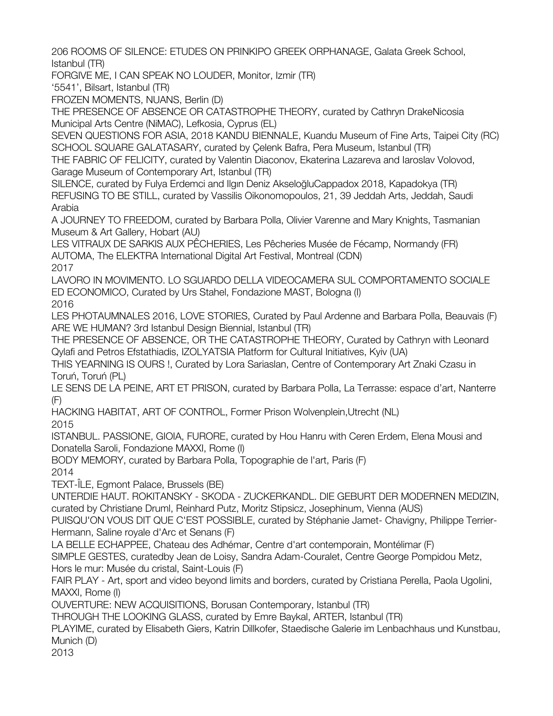206 ROOMS OF SILENCE: ETUDES ON PRINKIPO GREEK ORPHANAGE, Galata Greek School, Istanbul (TR)

FORGIVE ME, I CAN SPEAK NO LOUDER, Monitor, Izmir (TR)

'5541', Bilsart, Istanbul (TR)

FROZEN MOMENTS, NUANS, Berlin (D)

THE PRESENCE OF ABSENCE OR CATASTROPHE THEORY, curated by Cathryn DrakeNicosia Municipal Arts Centre (NiMAC), Lefkosia, Cyprus (EL)

SEVEN QUESTIONS FOR ASIA, 2018 KANDU BIENNALE, Kuandu Museum of Fine Arts, Taipei City (RC) SCHOOL SQUARE GALATASARY, curated by Çelenk Bafra, Pera Museum, Istanbul (TR)

THE FABRIC OF FELICITY, curated by Valentin Diaconov, Ekaterina Lazareva and Iaroslav Volovod, Garage Museum of Contemporary Art, Istanbul (TR)

SILENCE, curated by Fulya Erdemci and Ilgın Deniz AkseloğluCappadox 2018, Kapadokya (TR) REFUSING TO BE STILL, curated by Vassilis Oikonomopoulos, 21, 39 Jeddah Arts, Jeddah, Saudi Arabia

A JOURNEY TO FREEDOM, curated by Barbara Polla, Olivier Varenne and Mary Knights, Tasmanian Museum & Art Gallery, Hobart (AU)

LES VITRAUX DE SARKIS AUX PÊCHERIES, Les Pêcheries Musée de Fécamp, Normandy (FR) AUTOMA, The ELEKTRA International Digital Art Festival, Montreal (CDN) 2017

LAVORO IN MOVIMENTO. LO SGUARDO DELLA VIDEOCAMERA SUL COMPORTAMENTO SOCIALE ED ECONOMICO, Curated by Urs Stahel, Fondazione MAST, Bologna (I)

2016

LES PHOTAUMNALES 2016, LOVE STORIES, Curated by Paul Ardenne and Barbara Polla, Beauvais (F) ARE WE HUMAN? 3rd Istanbul Design Biennial, Istanbul (TR)

THE PRESENCE OF ABSENCE, OR THE CATASTROPHE THEORY, Curated by Cathryn with Leonard Qylafi and Petros Efstathiadis, IZOLYATSIA Platform for Cultural Initiatives, Kyiv (UA)

THIS YEARNING IS OURS !, Curated by Lora Sariaslan, Centre of Contemporary Art Znaki Czasu in Toruń, Toruń (PL)

LE SENS DE LA PEINE, ART ET PRISON, curated by Barbara Polla, La Terrasse: espace d'art, Nanterre (F)

HACKING HABITAT, ART OF CONTROL, Former Prison Wolvenplein,Utrecht (NL)

2015

ISTANBUL. PASSIONE, GIOIA, FURORE, curated by Hou Hanru with Ceren Erdem, Elena Mousi and Donatella Saroli, Fondazione MAXXI, Rome (I)

BODY MEMORY, curated by Barbara Polla, Topographie de l'art, Paris (F) 2014

TEXT-ÎLE, Egmont Palace, Brussels (BE)

UNTERDIE HAUT. ROKITANSKY - SKODA - ZUCKERKANDL. DIE GEBURT DER MODERNEN MEDIZIN, curated by Christiane Druml, Reinhard Putz, Moritz Stipsicz, Josephinum, Vienna (AUS)

PUISQU'ON VOUS DIT QUE C'EST POSSIBLE, curated by Stéphanie Jamet- Chavigny, Philippe Terrier-Hermann, Saline royale d'Arc et Senans (F)

LA BELLE ECHAPPEE, Chateau des Adhémar, Centre d'art contemporain, Montélimar (F)

SIMPLE GESTES, curatedby Jean de Loisy, Sandra Adam-Couralet, Centre George Pompidou Metz, Hors le mur: Musée du cristal, Saint-Louis (F)

FAIR PLAY - Art, sport and video beyond limits and borders, curated by Cristiana Perella, Paola Ugolini, MAXXI, Rome (I)

OUVERTURE: NEW ACQUISITIONS, Borusan Contemporary, Istanbul (TR)

THROUGH THE LOOKING GLASS, curated by Emre Baykal, ARTER, Istanbul (TR)

PLAYIME, curated by Elisabeth Giers, Katrin Dillkofer, Staedische Galerie im Lenbachhaus und Kunstbau, Munich (D)

2013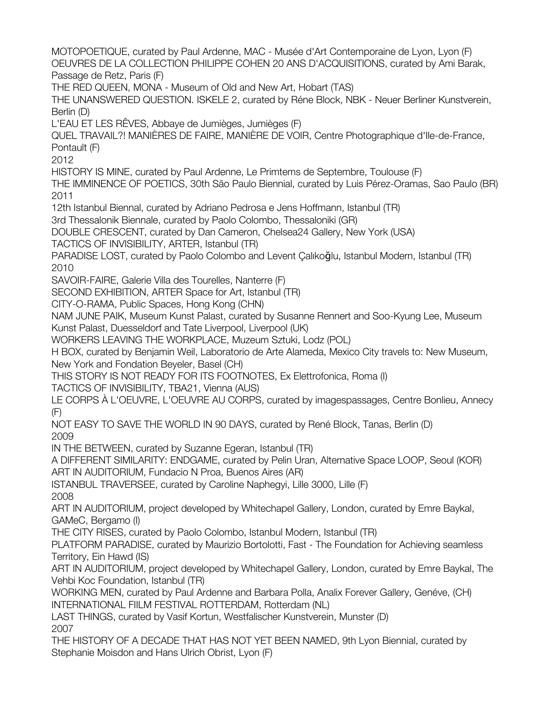MOTOPOETIQUE, curated by Paul Ardenne, MAC - Musée d'Art Contemporaine de Lyon, Lyon (F) OEUVRES DE LA COLLECTION PHILIPPE COHEN 20 ANS D'ACQUISITIONS, curated by Ami Barak, Passage de Retz, Paris (F) THE RED QUEEN, MONA - Museum of Old and New Art, Hobart (TAS) THE UNANSWERED QUESTION. ISKELE 2, curated by Réne Block, NBK - Neuer Berliner Kunstverein, Berlin (D) L'EAU ET LES RÊVES, Abbaye de Jumièges, Jumièges (F) QUEL TRAVAIL?! MANIÈRES DE FAIRE, MANIÈRE DE VOIR, Centre Photographique d'Ile-de-France, Pontault (F) 2012 HISTORY IS MINE, curated by Paul Ardenne, Le Primtems de Septembre, Toulouse (F) THE IMMINENCE OF POETICS, 30th São Paulo Biennial, curated by Luis Pérez-Oramas, Sao Paulo (BR) 2011 12th Istanbul Biennal, curated by Adriano Pedrosa e Jens Hoffmann, Istanbul (TR) 3rd Thessalonik Biennale, curated by Paolo Colombo, Thessaloniki (GR) DOUBLE CRESCENT, curated by Dan Cameron, Chelsea24 Gallery, New York (USA) TACTICS OF INVISIBILITY, ARTER, Istanbul (TR) PARADISE LOST, curated by Paolo Colombo and Levent Çalıkoğlu, Istanbul Modern, Istanbul (TR) 2010 SAVOIR-FAIRE, Galerie Villa des Tourelles, Nanterre (F) SECOND EXHIBITION, ARTER Space for Art, Istanbul (TR) CITY-O-RAMA, Public Spaces, Hong Kong (CHN) NAM JUNE PAIK, Museum Kunst Palast, curated by Susanne Rennert and Soo-Kyung Lee, Museum Kunst Palast, Duesseldorf and Tate Liverpool, Liverpool (UK) WORKERS LEAVING THE WORKPLACE, Muzeum Sztuki, Lodz (POL) H BOX, curated by Benjamin Weil, Laboratorio de Arte Alameda, Mexico City travels to: New Museum, New York and Fondation Beyeler, Basel (CH) THIS STORY IS NOT READY FOR ITS FOOTNOTES, Ex Elettrofonica, Roma (I) TACTICS OF INVISIBILITY, TBA21, Vienna (AUS) LE CORPS À L'OEUVRE, L'OEUVRE AU CORPS, curated by imagespassages, Centre Bonlieu, Annecy (F) NOT EASY TO SAVE THE WORLD IN 90 DAYS, curated by René Block, Tanas, Berlin (D) 2009 IN THE BETWEEN, curated by Suzanne Egeran, Istanbul (TR) A DIFFERENT SIMILARITY: ENDGAME, curated by Pelin Uran, Alternative Space LOOP, Seoul (KOR) ART IN AUDITORIUM, Fundacio N Proa, Buenos Aires (AR) ISTANBUL TRAVERSEE, curated by Caroline Naphegyi, Lille 3000, Lille (F) 2008 ART IN AUDITORIUM, project developed by Whitechapel Gallery, London, curated by Emre Baykal, GAMeC, Bergamo (I) THE CITY RISES, curated by Paolo Colombo, Istanbul Modern, Istanbul (TR) PLATFORM PARADISE, curated by Maurizio Bortolotti, Fast - The Foundation for Achieving seamless Territory, Ein Hawd (IS) ART IN AUDITORIUM, project developed by Whitechapel Gallery, London, curated by Emre Baykal, The Vehbi Koc Foundation, Istanbul (TR) WORKING MEN, curated by Paul Ardenne and Barbara Polla, Analix Forever Gallery, Genéve, (CH) INTERNATIONAL FIILM FESTIVAL ROTTERDAM, Rotterdam (NL) LAST THINGS, curated by Vasif Kortun, Westfalischer Kunstverein, Munster (D) 2007 THE HISTORY OF A DECADE THAT HAS NOT YET BEEN NAMED, 9th Lyon Biennial, curated by Stephanie Moisdon and Hans Ulrich Obrist, Lyon (F)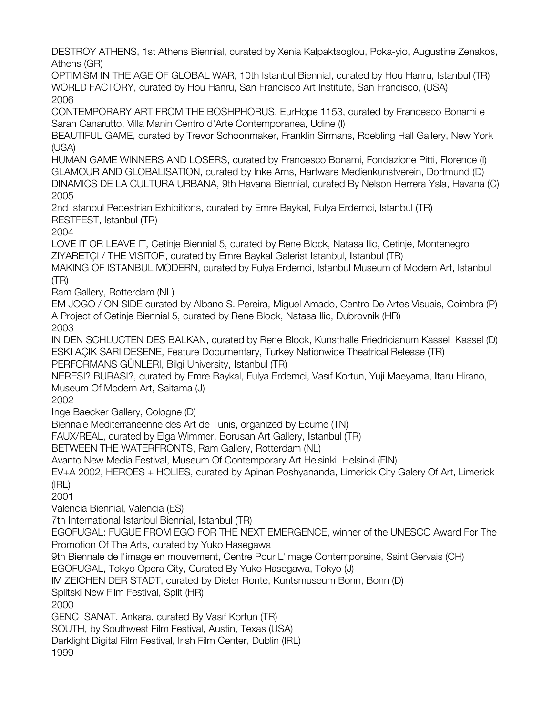DESTROY ATHENS, 1st Athens Biennial, curated by Xenia Kalpaktsoglou, Poka-yio, Augustine Zenakos, Athens (GR)

OPTIMISM IN THE AGE OF GLOBAL WAR, 10th Istanbul Biennial, curated by Hou Hanru, Istanbul (TR) WORLD FACTORY, curated by Hou Hanru, San Francisco Art Institute, San Francisco, (USA) 2006

CONTEMPORARY ART FROM THE BOSHPHORUS, EurHope 1153, curated by Francesco Bonami e Sarah Canarutto, Villa Manin Centro d'Arte Contemporanea, Udine (I)

BEAUTIFUL GAME, curated by Trevor Schoonmaker, Franklin Sirmans, Roebling Hall Gallery, New York (USA)

HUMAN GAME WINNERS AND LOSERS, curated by Francesco Bonami, Fondazione Pitti, Florence (I) GLAMOUR AND GLOBALISATION, curated by Inke Arns, Hartware Medienkunstverein, Dortmund (D) DINAMICS DE LA CULTURA URBANA, 9th Havana Biennial, curated By Nelson Herrera Ysla, Havana (C) 2005

2nd Istanbul Pedestrian Exhibitions, curated by Emre Baykal, Fulya Erdemci, Istanbul (TR) RESTFEST, Istanbul (TR)

2004

LOVE IT OR LEAVE IT, Cetinje Biennial 5, curated by Rene Block, Natasa Ilic, Cetinje, Montenegro ZIYARETÇI / THE VISITOR, curated by Emre Baykal Galerist Istanbul, Istanbul (TR)

MAKING OF ISTANBUL MODERN, curated by Fulya Erdemci, Istanbul Museum of Modern Art, Istanbul (TR)

Ram Gallery, Rotterdam (NL)

EM JOGO / ON SIDE curated by Albano S. Pereira, Miguel Amado, Centro De Artes Visuais, Coimbra (P) A Project of Cetinje Biennial 5, curated by Rene Block, Natasa Ilic, Dubrovnik (HR) 2003

IN DEN SCHLUCTEN DES BALKAN, curated by Rene Block, Kunsthalle Friedricianum Kassel, Kassel (D) ESKI AÇIK SARI DESENE, Feature Documentary, Turkey Nationwide Theatrical Release (TR) PERFORMANS GÜNLERI, Bilgi University, Istanbul (TR)

NERESI? BURASI?, curated by Emre Baykal, Fulya Erdemci, Vasıf Kortun, Yuji Maeyama, Itaru Hirano, Museum Of Modern Art, Saitama (J)

2002

Inge Baecker Gallery, Cologne (D)

Biennale Mediterraneenne des Art de Tunis, organized by Ecume (TN)

FAUX/REAL, curated by Elga Wimmer, Borusan Art Gallery, Istanbul (TR)

BETWEEN THE WATERFRONTS, Ram Gallery, Rotterdam (NL)

Avanto New Media Festival, Museum Of Contemporary Art Helsinki, Helsinki (FIN)

EV+A 2002, HEROES + HOLIES, curated by Apinan Poshyananda, Limerick City Galery Of Art, Limerick (IRL)

2001

Valencia Biennial, Valencia (ES)

7th International Istanbul Biennial, Istanbul (TR)

EGOFUGAL: FUGUE FROM EGO FOR THE NEXT EMERGENCE, winner of the UNESCO Award For The Promotion Of The Arts, curated by Yuko Hasegawa

9th Biennale de l'image en mouvement, Centre Pour L'image Contemporaine, Saint Gervais (CH)

EGOFUGAL, Tokyo Opera City, Curated By Yuko Hasegawa, Tokyo (J)

IM ZEICHEN DER STADT, curated by Dieter Ronte, Kuntsmuseum Bonn, Bonn (D)

Splitski New Film Festival, Split (HR)

2000

GENC SANAT, Ankara, curated By Vasıf Kortun (TR)

SOUTH, by Southwest Film Festival, Austin, Texas (USA)

Darklight Digital Film Festival, Irish Film Center, Dublin (IRL)

1999